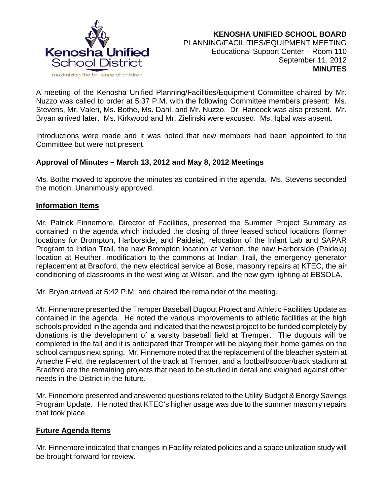

A meeting of the Kenosha Unified Planning/Facilities/Equipment Committee chaired by Mr. Nuzzo was called to order at 5:37 P.M. with the following Committee members present: Ms. Stevens, Mr. Valeri, Ms. Bothe, Ms. Dahl, and Mr. Nuzzo. Dr. Hancock was also present. Mr. Bryan arrived later. Ms. Kirkwood and Mr. Zielinski were excused. Ms. Iqbal was absent.

Introductions were made and it was noted that new members had been appointed to the Committee but were not present.

## **Approval of Minutes – March 13, 2012 and May 8, 2012 Meetings**

Ms. Bothe moved to approve the minutes as contained in the agenda. Ms. Stevens seconded the motion. Unanimously approved.

#### **Information Items**

Mr. Patrick Finnemore, Director of Facilities, presented the Summer Project Summary as contained in the agenda which included the closing of three leased school locations (former locations for Brompton, Harborside, and Paideia), relocation of the Infant Lab and SAPAR Program to Indian Trail, the new Brompton location at Vernon, the new Harborside (Paideia) location at Reuther, modification to the commons at Indian Trail, the emergency generator replacement at Bradford, the new electrical service at Bose, masonry repairs at KTEC, the air conditioning of classrooms in the west wing at Wilson, and the new gym lighting at EBSOLA.

Mr. Bryan arrived at 5:42 P.M. and chaired the remainder of the meeting.

Mr. Finnemore presented the Tremper Baseball Dugout Project and Athletic Facilities Update as contained in the agenda. He noted the various improvements to athletic facilities at the high schools provided in the agenda and indicated that the newest project to be funded completely by donations is the development of a varsity baseball field at Tremper. The dugouts will be completed in the fall and it is anticipated that Tremper will be playing their home games on the school campus next spring. Mr. Finnemore noted that the replacement of the bleacher system at Ameche Field, the replacement of the track at Tremper, and a football/soccer/track stadium at Bradford are the remaining projects that need to be studied in detail and weighed against other needs in the District in the future.

Mr. Finnemore presented and answered questions related to the Utility Budget & Energy Savings Program Update. He noted that KTEC's higher usage was due to the summer masonry repairs that took place.

## **Future Agenda Items**

Mr. Finnemore indicated that changes in Facility related policies and a space utilization study will be brought forward for review.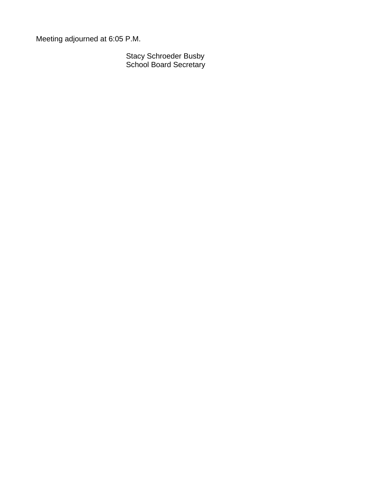Meeting adjourned at 6:05 P.M.

Stacy Schroeder Busby School Board Secretary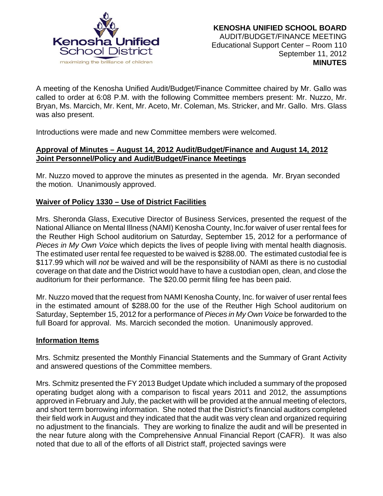

A meeting of the Kenosha Unified Audit/Budget/Finance Committee chaired by Mr. Gallo was called to order at 6:08 P.M. with the following Committee members present: Mr. Nuzzo, Mr. Bryan, Ms. Marcich, Mr. Kent, Mr. Aceto, Mr. Coleman, Ms. Stricker, and Mr. Gallo. Mrs. Glass was also present.

Introductions were made and new Committee members were welcomed.

## **Approval of Minutes – August 14, 2012 Audit/Budget/Finance and August 14, 2012 Joint Personnel/Policy and Audit/Budget/Finance Meetings**

Mr. Nuzzo moved to approve the minutes as presented in the agenda. Mr. Bryan seconded the motion. Unanimously approved.

## **Waiver of Policy 1330 – Use of District Facilities**

Mrs. Sheronda Glass, Executive Director of Business Services, presented the request of the National Alliance on Mental Illness (NAMI) Kenosha County, Inc.for waiver of user rental fees for the Reuther High School auditorium on Saturday, September 15, 2012 for a performance of *Pieces in My Own Voice* which depicts the lives of people living with mental health diagnosis. The estimated user rental fee requested to be waived is \$288.00. The estimated custodial fee is \$117.99 which will *not* be waived and will be the responsibility of NAMI as there is no custodial coverage on that date and the District would have to have a custodian open, clean, and close the auditorium for their performance. The \$20.00 permit filing fee has been paid.

Mr. Nuzzo moved that the request from NAMI Kenosha County, Inc. for waiver of user rental fees in the estimated amount of \$288.00 for the use of the Reuther High School auditorium on Saturday, September 15, 2012 for a performance of *Pieces in My Own Voice* be forwarded to the full Board for approval. Ms. Marcich seconded the motion. Unanimously approved.

## **Information Items**

Mrs. Schmitz presented the Monthly Financial Statements and the Summary of Grant Activity and answered questions of the Committee members.

Mrs. Schmitz presented the FY 2013 Budget Update which included a summary of the proposed operating budget along with a comparison to fiscal years 2011 and 2012, the assumptions approved in February and July, the packet with will be provided at the annual meeting of electors, and short term borrowing information. She noted that the District's financial auditors completed their field work in August and they indicated that the audit was very clean and organized requiring no adjustment to the financials. They are working to finalize the audit and will be presented in the near future along with the Comprehensive Annual Financial Report (CAFR). It was also noted that due to all of the efforts of all District staff, projected savings were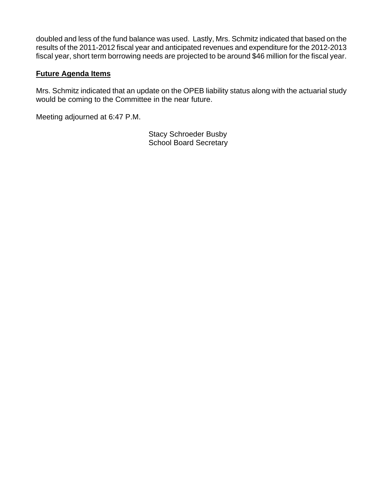doubled and less of the fund balance was used. Lastly, Mrs. Schmitz indicated that based on the results of the 2011-2012 fiscal year and anticipated revenues and expenditure for the 2012-2013 fiscal year, short term borrowing needs are projected to be around \$46 million for the fiscal year.

# **Future Agenda Items**

Mrs. Schmitz indicated that an update on the OPEB liability status along with the actuarial study would be coming to the Committee in the near future.

Meeting adjourned at 6:47 P.M.

Stacy Schroeder Busby School Board Secretary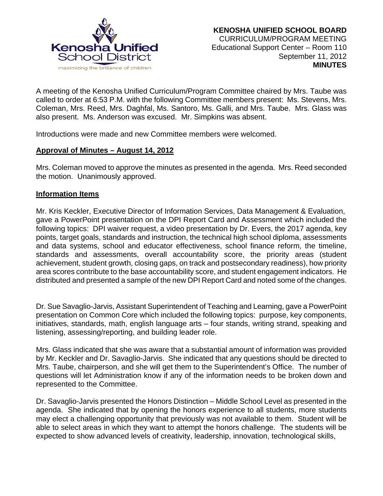

A meeting of the Kenosha Unified Curriculum/Program Committee chaired by Mrs. Taube was called to order at 6:53 P.M. with the following Committee members present: Ms. Stevens, Mrs. Coleman, Mrs. Reed, Mrs. Daghfal, Ms. Santoro, Ms. Galli, and Mrs. Taube. Mrs. Glass was also present. Ms. Anderson was excused. Mr. Simpkins was absent.

Introductions were made and new Committee members were welcomed.

## **Approval of Minutes – August 14, 2012**

Mrs. Coleman moved to approve the minutes as presented in the agenda. Mrs. Reed seconded the motion. Unanimously approved.

#### **Information Items**

Mr. Kris Keckler, Executive Director of Information Services, Data Management & Evaluation, gave a PowerPoint presentation on the DPI Report Card and Assessment which included the following topics: DPI waiver request, a video presentation by Dr. Evers, the 2017 agenda, key points, target goals, standards and instruction, the technical high school diploma, assessments and data systems, school and educator effectiveness, school finance reform, the timeline, standards and assessments, overall accountability score, the priority areas (student achievement, student growth, closing gaps, on track and postsecondary readiness), how priority area scores contribute to the base accountability score, and student engagement indicators. He distributed and presented a sample of the new DPI Report Card and noted some of the changes.

Dr. Sue Savaglio-Jarvis, Assistant Superintendent of Teaching and Learning, gave a PowerPoint presentation on Common Core which included the following topics: purpose, key components, initiatives, standards, math, english language arts – four stands, writing strand, speaking and listening, assessing/reporting, and building leader role.

Mrs. Glass indicated that she was aware that a substantial amount of information was provided by Mr. Keckler and Dr. Savaglio-Jarvis. She indicated that any questions should be directed to Mrs. Taube, chairperson, and she will get them to the Superintendent's Office. The number of questions will let Administration know if any of the information needs to be broken down and represented to the Committee.

Dr. Savaglio-Jarvis presented the Honors Distinction – Middle School Level as presented in the agenda. She indicated that by opening the honors experience to all students, more students may elect a challenging opportunity that previously was not available to them. Student will be able to select areas in which they want to attempt the honors challenge. The students will be expected to show advanced levels of creativity, leadership, innovation, technological skills,